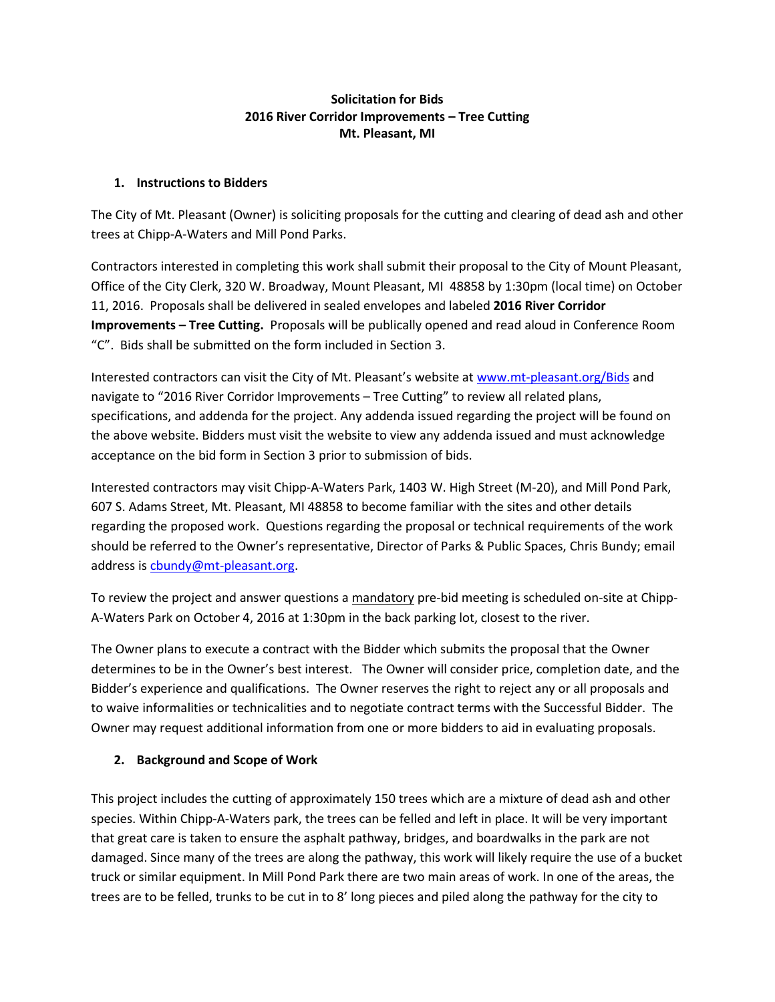#### **Solicitation for Bids 2016 River Corridor Improvements – Tree Cutting Mt. Pleasant, MI**

#### **1. Instructions to Bidders**

The City of Mt. Pleasant (Owner) is soliciting proposals for the cutting and clearing of dead ash and other trees at Chipp-A-Waters and Mill Pond Parks.

Contractors interested in completing this work shall submit their proposal to the City of Mount Pleasant, Office of the City Clerk, 320 W. Broadway, Mount Pleasant, MI 48858 by 1:30pm (local time) on October 11, 2016. Proposals shall be delivered in sealed envelopes and labeled **2016 River Corridor Improvements – Tree Cutting.** Proposals will be publically opened and read aloud in Conference Room "C". Bids shall be submitted on the form included in Section 3.

Interested contractors can visit the City of Mt. Pleasant's website at <www.mt-pleasant.org/Bids> and navigate to "2016 River Corridor Improvements – Tree Cutting" to review all related plans, specifications, and addenda for the project. Any addenda issued regarding the project will be found on the above website. Bidders must visit the website to view any addenda issued and must acknowledge acceptance on the bid form in Section 3 prior to submission of bids.

Interested contractors may visit Chipp-A-Waters Park, 1403 W. High Street (M-20), and Mill Pond Park, 607 S. Adams Street, Mt. Pleasant, MI 48858 to become familiar with the sites and other details regarding the proposed work. Questions regarding the proposal or technical requirements of the work should be referred to the Owner's representative, Director of Parks & Public Spaces, Chris Bundy; email address i[s cbundy@mt-pleasant.org.](mailto:cbundy@mt-pleasant.org)

To review the project and answer questions a mandatory pre-bid meeting is scheduled on-site at Chipp-A-Waters Park on October 4, 2016 at 1:30pm in the back parking lot, closest to the river.

The Owner plans to execute a contract with the Bidder which submits the proposal that the Owner determines to be in the Owner's best interest. The Owner will consider price, completion date, and the Bidder's experience and qualifications. The Owner reserves the right to reject any or all proposals and to waive informalities or technicalities and to negotiate contract terms with the Successful Bidder. The Owner may request additional information from one or more bidders to aid in evaluating proposals.

## **2. Background and Scope of Work**

This project includes the cutting of approximately 150 trees which are a mixture of dead ash and other species. Within Chipp-A-Waters park, the trees can be felled and left in place. It will be very important that great care is taken to ensure the asphalt pathway, bridges, and boardwalks in the park are not damaged. Since many of the trees are along the pathway, this work will likely require the use of a bucket truck or similar equipment. In Mill Pond Park there are two main areas of work. In one of the areas, the trees are to be felled, trunks to be cut in to 8' long pieces and piled along the pathway for the city to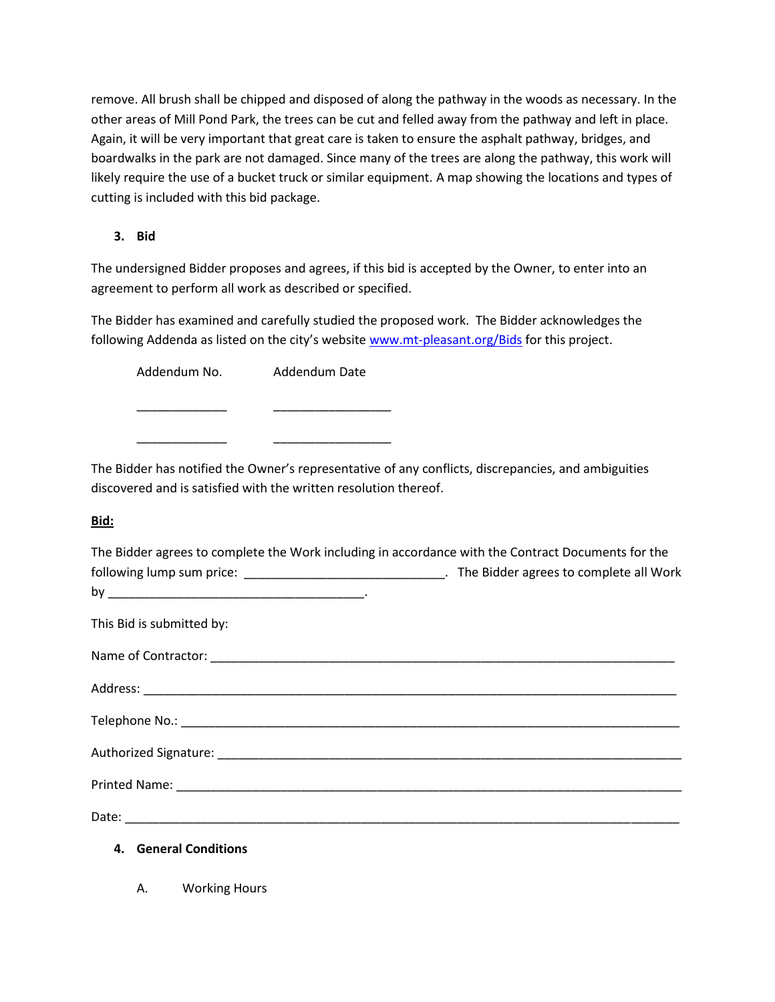remove. All brush shall be chipped and disposed of along the pathway in the woods as necessary. In the other areas of Mill Pond Park, the trees can be cut and felled away from the pathway and left in place. Again, it will be very important that great care is taken to ensure the asphalt pathway, bridges, and boardwalks in the park are not damaged. Since many of the trees are along the pathway, this work will likely require the use of a bucket truck or similar equipment. A map showing the locations and types of cutting is included with this bid package.

# **3. Bid**

The undersigned Bidder proposes and agrees, if this bid is accepted by the Owner, to enter into an agreement to perform all work as described or specified.

The Bidder has examined and carefully studied the proposed work. The Bidder acknowledges the following Addenda as listed on the city's website [www.mt-pleasant.org/Bids](http://www.mt-pleasant.org/Bids) for this project.

Addendum No. Addendum Date

\_\_\_\_\_\_\_\_\_\_\_\_\_ \_\_\_\_\_\_\_\_\_\_\_\_\_\_\_\_\_

\_\_\_\_\_\_\_\_\_\_\_\_\_ \_\_\_\_\_\_\_\_\_\_\_\_\_\_\_\_\_

The Bidder has notified the Owner's representative of any conflicts, discrepancies, and ambiguities discovered and is satisfied with the written resolution thereof.

## **Bid:**

| The Bidder agrees to complete the Work including in accordance with the Contract Documents for the   |  |
|------------------------------------------------------------------------------------------------------|--|
| following lump sum price: __________________________________. The Bidder agrees to complete all Work |  |
|                                                                                                      |  |
| This Bid is submitted by:                                                                            |  |
|                                                                                                      |  |
|                                                                                                      |  |
|                                                                                                      |  |
|                                                                                                      |  |
|                                                                                                      |  |
|                                                                                                      |  |
| 4. General Conditions                                                                                |  |

A. Working Hours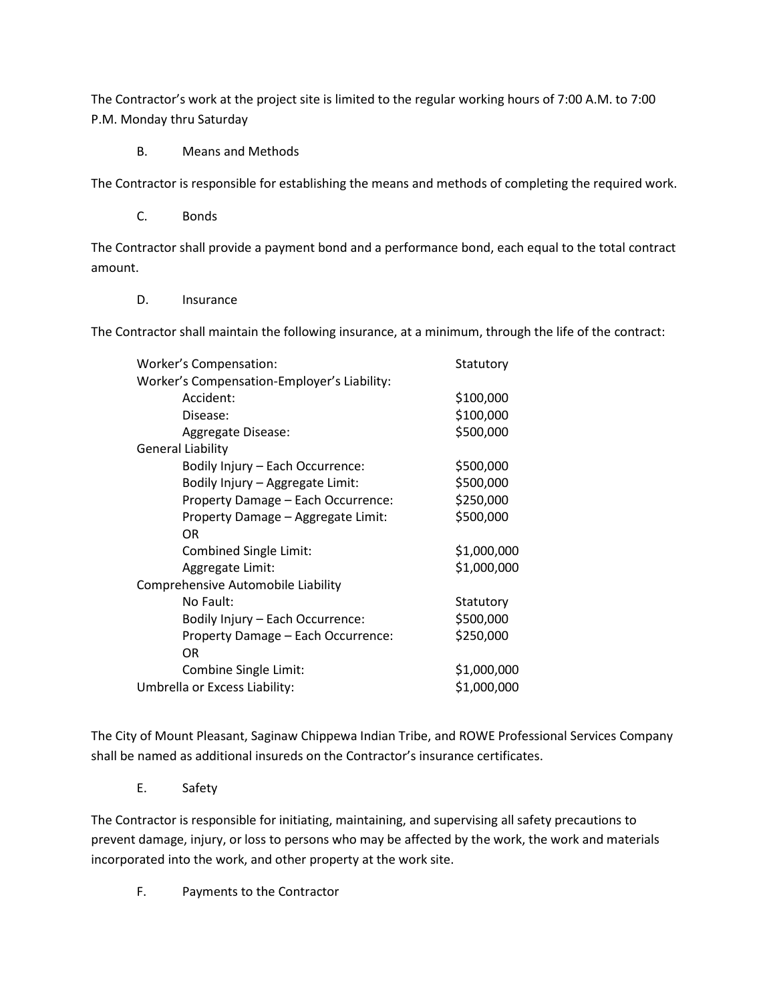The Contractor's work at the project site is limited to the regular working hours of 7:00 A.M. to 7:00 P.M. Monday thru Saturday

B. Means and Methods

The Contractor is responsible for establishing the means and methods of completing the required work.

C. Bonds

The Contractor shall provide a payment bond and a performance bond, each equal to the total contract amount.

D. Insurance

The Contractor shall maintain the following insurance, at a minimum, through the life of the contract:

| Worker's Compensation:                      | Statutory   |
|---------------------------------------------|-------------|
| Worker's Compensation-Employer's Liability: |             |
| Accident:                                   | \$100,000   |
| Disease:                                    | \$100,000   |
| Aggregate Disease:                          | \$500,000   |
| General Liability                           |             |
| Bodily Injury - Each Occurrence:            | \$500,000   |
| Bodily Injury - Aggregate Limit:            | \$500,000   |
| Property Damage - Each Occurrence:          | \$250,000   |
| Property Damage - Aggregate Limit:          | \$500,000   |
| OR                                          |             |
| Combined Single Limit:                      | \$1,000,000 |
| Aggregate Limit:                            | \$1,000,000 |
| Comprehensive Automobile Liability          |             |
| No Fault:                                   | Statutory   |
| Bodily Injury - Each Occurrence:            | \$500,000   |
| Property Damage - Each Occurrence:          | \$250,000   |
| OR                                          |             |
| Combine Single Limit:                       | \$1,000,000 |
| Umbrella or Excess Liability:               | \$1,000,000 |

The City of Mount Pleasant, Saginaw Chippewa Indian Tribe, and ROWE Professional Services Company shall be named as additional insureds on the Contractor's insurance certificates.

E. Safety

The Contractor is responsible for initiating, maintaining, and supervising all safety precautions to prevent damage, injury, or loss to persons who may be affected by the work, the work and materials incorporated into the work, and other property at the work site.

F. Payments to the Contractor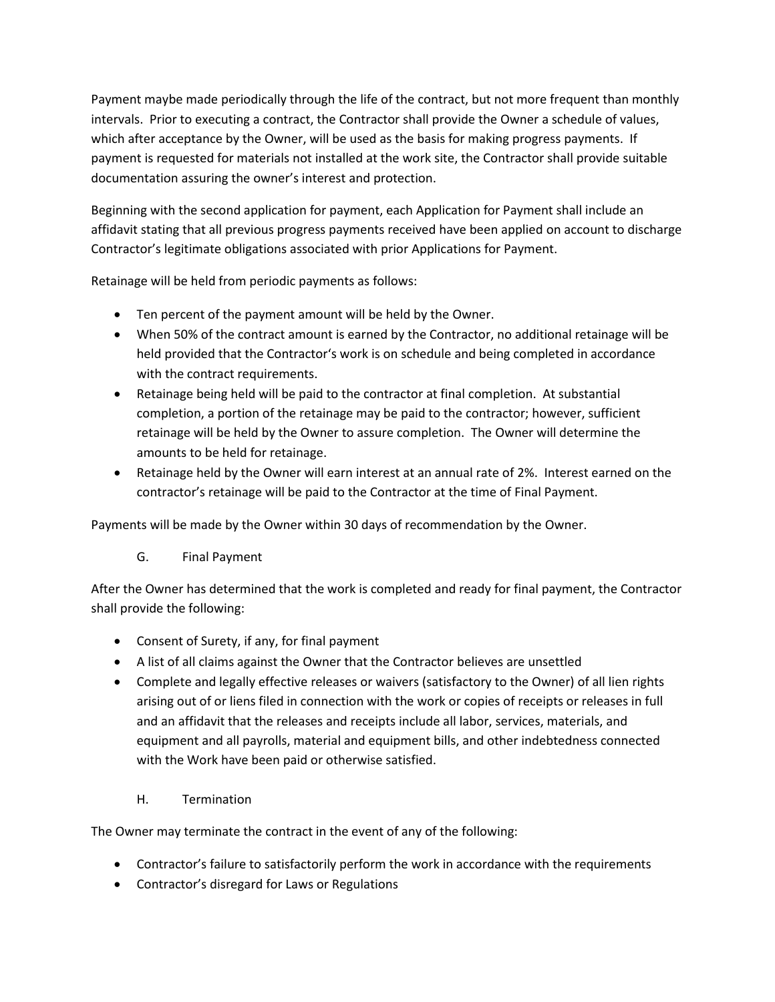Payment maybe made periodically through the life of the contract, but not more frequent than monthly intervals. Prior to executing a contract, the Contractor shall provide the Owner a schedule of values, which after acceptance by the Owner, will be used as the basis for making progress payments. If payment is requested for materials not installed at the work site, the Contractor shall provide suitable documentation assuring the owner's interest and protection.

Beginning with the second application for payment, each Application for Payment shall include an affidavit stating that all previous progress payments received have been applied on account to discharge Contractor's legitimate obligations associated with prior Applications for Payment.

Retainage will be held from periodic payments as follows:

- Ten percent of the payment amount will be held by the Owner.
- When 50% of the contract amount is earned by the Contractor, no additional retainage will be held provided that the Contractor's work is on schedule and being completed in accordance with the contract requirements.
- Retainage being held will be paid to the contractor at final completion. At substantial completion, a portion of the retainage may be paid to the contractor; however, sufficient retainage will be held by the Owner to assure completion. The Owner will determine the amounts to be held for retainage.
- Retainage held by the Owner will earn interest at an annual rate of 2%. Interest earned on the contractor's retainage will be paid to the Contractor at the time of Final Payment.

Payments will be made by the Owner within 30 days of recommendation by the Owner.

G. Final Payment

After the Owner has determined that the work is completed and ready for final payment, the Contractor shall provide the following:

- Consent of Surety, if any, for final payment
- A list of all claims against the Owner that the Contractor believes are unsettled
- Complete and legally effective releases or waivers (satisfactory to the Owner) of all lien rights arising out of or liens filed in connection with the work or copies of receipts or releases in full and an affidavit that the releases and receipts include all labor, services, materials, and equipment and all payrolls, material and equipment bills, and other indebtedness connected with the Work have been paid or otherwise satisfied.
	- H. Termination

The Owner may terminate the contract in the event of any of the following:

- Contractor's failure to satisfactorily perform the work in accordance with the requirements
- Contractor's disregard for Laws or Regulations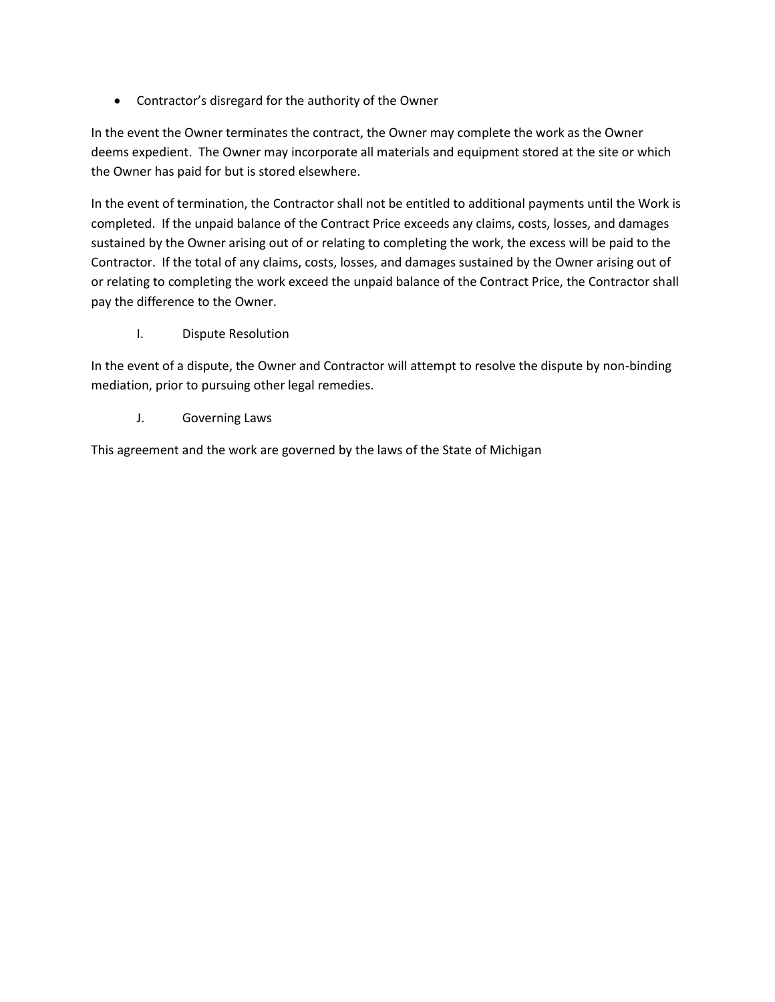Contractor's disregard for the authority of the Owner

In the event the Owner terminates the contract, the Owner may complete the work as the Owner deems expedient. The Owner may incorporate all materials and equipment stored at the site or which the Owner has paid for but is stored elsewhere.

In the event of termination, the Contractor shall not be entitled to additional payments until the Work is completed. If the unpaid balance of the Contract Price exceeds any claims, costs, losses, and damages sustained by the Owner arising out of or relating to completing the work, the excess will be paid to the Contractor. If the total of any claims, costs, losses, and damages sustained by the Owner arising out of or relating to completing the work exceed the unpaid balance of the Contract Price, the Contractor shall pay the difference to the Owner.

I. Dispute Resolution

In the event of a dispute, the Owner and Contractor will attempt to resolve the dispute by non-binding mediation, prior to pursuing other legal remedies.

J. Governing Laws

This agreement and the work are governed by the laws of the State of Michigan